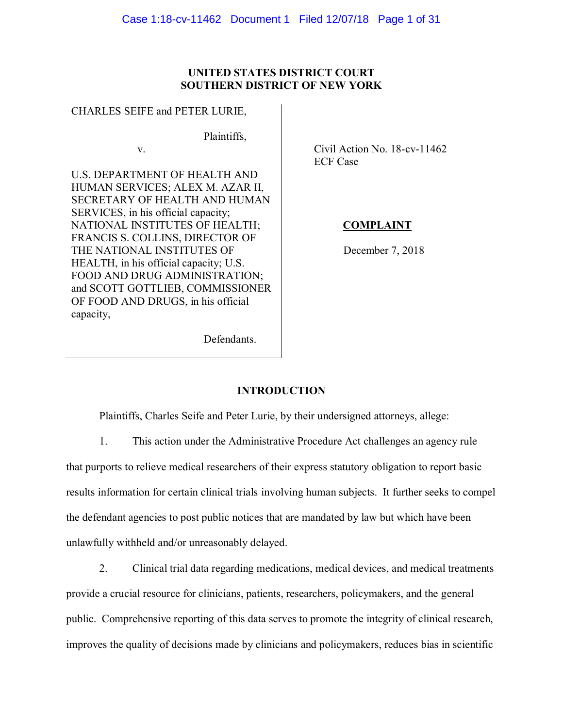## **UNITED STATES DISTRICT COURT SOUTHERN DISTRICT OF NEW YORK**

### CHARLES SEIFE and PETER LURIE,

v.

Plaintiffs,

U.S. DEPARTMENT OF HEALTH AND HUMAN SERVICES; ALEX M. AZAR II, SECRETARY OF HEALTH AND HUMAN SERVICES, in his official capacity; NATIONAL INSTITUTES OF HEALTH; FRANCIS S. COLLINS, DIRECTOR OF THE NATIONAL INSTITUTES OF HEALTH, in his official capacity; U.S. FOOD AND DRUG ADMINISTRATION; and SCOTT GOTTLIEB, COMMISSIONER OF FOOD AND DRUGS, in his official capacity,

 Civil Action No. 18-cv-11462 ECF Case

# **COMPLAINT**

December 7, 2018

Defendants.

# **INTRODUCTION**

Plaintiffs, Charles Seife and Peter Lurie, by their undersigned attorneys, allege:

1. This action under the Administrative Procedure Act challenges an agency rule

that purports to relieve medical researchers of their express statutory obligation to report basic results information for certain clinical trials involving human subjects. It further seeks to compel the defendant agencies to post public notices that are mandated by law but which have been unlawfully withheld and/or unreasonably delayed.

2. Clinical trial data regarding medications, medical devices, and medical treatments

provide a crucial resource for clinicians, patients, researchers, policymakers, and the general

public. Comprehensive reporting of this data serves to promote the integrity of clinical research,

improves the quality of decisions made by clinicians and policymakers, reduces bias in scientific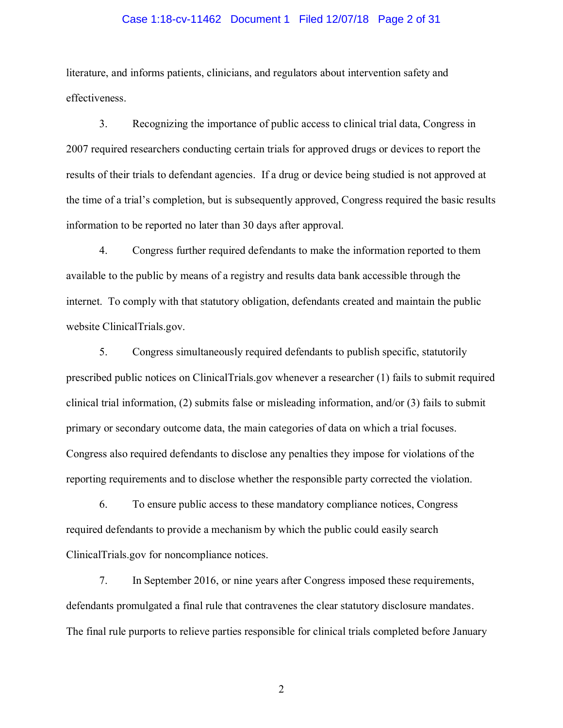#### Case 1:18-cv-11462 Document 1 Filed 12/07/18 Page 2 of 31

literature, and informs patients, clinicians, and regulators about intervention safety and effectiveness.

3. Recognizing the importance of public access to clinical trial data, Congress in 2007 required researchers conducting certain trials for approved drugs or devices to report the results of their trials to defendant agencies. If a drug or device being studied is not approved at the time of a trial's completion, but is subsequently approved, Congress required the basic results information to be reported no later than 30 days after approval.

4. Congress further required defendants to make the information reported to them available to the public by means of a registry and results data bank accessible through the internet. To comply with that statutory obligation, defendants created and maintain the public website ClinicalTrials.gov.

5. Congress simultaneously required defendants to publish specific, statutorily prescribed public notices on ClinicalTrials.gov whenever a researcher (1) fails to submit required clinical trial information, (2) submits false or misleading information, and/or  $(3)$  fails to submit primary or secondary outcome data, the main categories of data on which a trial focuses. Congress also required defendants to disclose any penalties they impose for violations of the reporting requirements and to disclose whether the responsible party corrected the violation.

6. To ensure public access to these mandatory compliance notices, Congress required defendants to provide a mechanism by which the public could easily search ClinicalTrials.gov for noncompliance notices.

7. In September 2016, or nine years after Congress imposed these requirements, defendants promulgated a final rule that contravenes the clear statutory disclosure mandates. The final rule purports to relieve parties responsible for clinical trials completed before January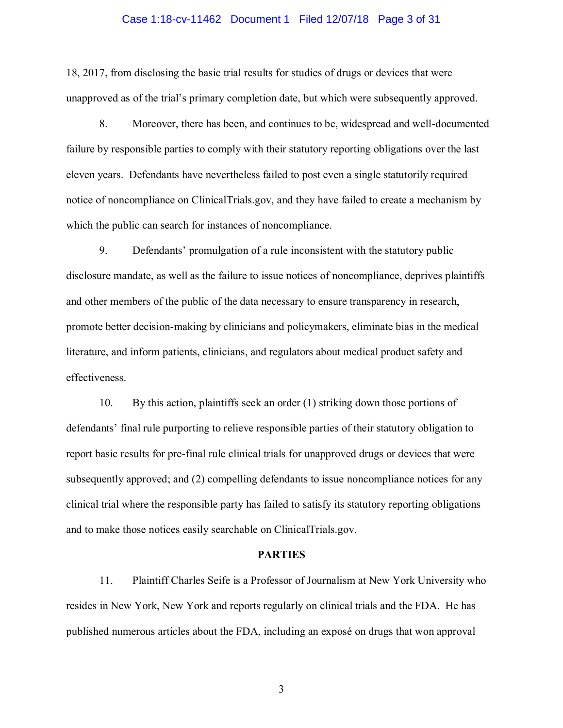#### Case 1:18-cv-11462 Document 1 Filed 12/07/18 Page 3 of 31

18, 2017, from disclosing the basic trial results for studies of drugs or devices that were unapproved as of the trial's primary completion date, but which were subsequently approved.

8. Moreover, there has been, and continues to be, widespread and well-documented failure by responsible parties to comply with their statutory reporting obligations over the last eleven years. Defendants have nevertheless failed to post even a single statutorily required notice of noncompliance on ClinicalTrials.gov, and they have failed to create a mechanism by which the public can search for instances of noncompliance.

9. Defendants' promulgation of a rule inconsistent with the statutory public disclosure mandate, as well as the failure to issue notices of noncompliance, deprives plaintiffs and other members of the public of the data necessary to ensure transparency in research, promote better decision-making by clinicians and policymakers, eliminate bias in the medical literature, and inform patients, clinicians, and regulators about medical product safety and effectiveness.

10. By this action, plaintiffs seek an order (1) striking down those portions of defendants' final rule purporting to relieve responsible parties of their statutory obligation to report basic results for pre-final rule clinical trials for unapproved drugs or devices that were subsequently approved; and (2) compelling defendants to issue noncompliance notices for any clinical trial where the responsible party has failed to satisfy its statutory reporting obligations and to make those notices easily searchable on ClinicalTrials.gov.

#### **PARTIES**

11. Plaintiff Charles Seife is a Professor of Journalism at New York University who resides in New York, New York and reports regularly on clinical trials and the FDA. He has published numerous articles about the FDA, including an exposé on drugs that won approval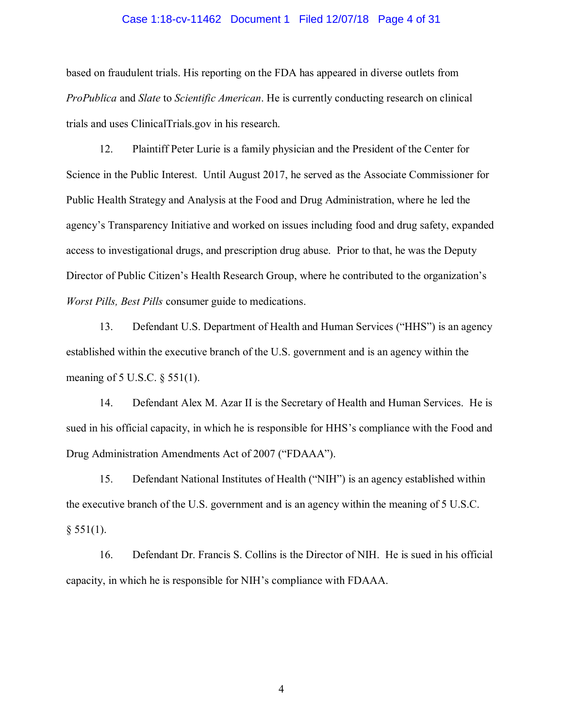#### Case 1:18-cv-11462 Document 1 Filed 12/07/18 Page 4 of 31

based on fraudulent trials. His reporting on the FDA has appeared in diverse outlets from *ProPublica* and *Slate* to *Scientific American*. He is currently conducting research on clinical trials and uses ClinicalTrials.gov in his research.

12. Plaintiff Peter Lurie is a family physician and the President of the Center for Science in the Public Interest. Until August 2017, he served as the Associate Commissioner for Public Health Strategy and Analysis at the Food and Drug Administration, where he led the agency's Transparency Initiative and worked on issues including food and drug safety, expanded access to investigational drugs, and prescription drug abuse. Prior to that, he was the Deputy Director of Public Citizen's Health Research Group, where he contributed to the organization's *Worst Pills, Best Pills* consumer guide to medications.

13. Defendant U.S. Department of Health and Human Services ("HHS") is an agency established within the executive branch of the U.S. government and is an agency within the meaning of 5 U.S.C. § 551(1).

14. Defendant Alex M. Azar II is the Secretary of Health and Human Services. He is sued in his official capacity, in which he is responsible for HHS's compliance with the Food and Drug Administration Amendments Act of 2007 ("FDAAA").

15. Defendant National Institutes of Health ("NIH") is an agency established within the executive branch of the U.S. government and is an agency within the meaning of 5 U.S.C.  $§ 551(1).$ 

16. Defendant Dr. Francis S. Collins is the Director of NIH. He is sued in his official capacity, in which he is responsible for NIH's compliance with FDAAA.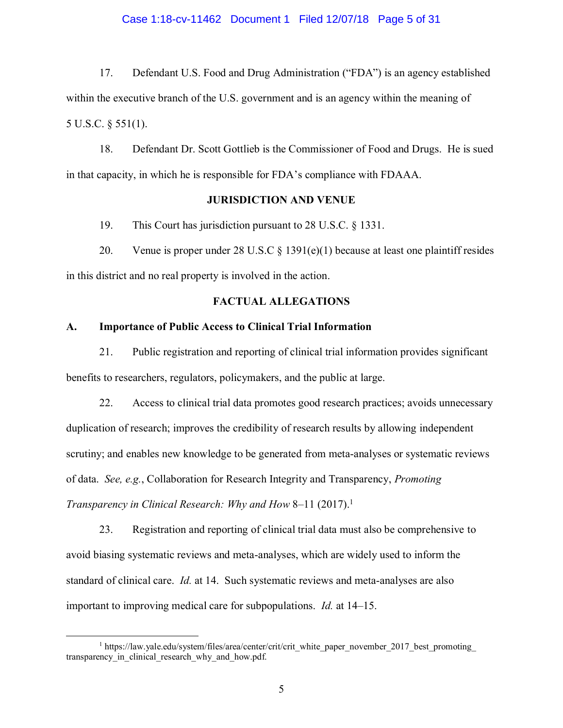#### Case 1:18-cv-11462 Document 1 Filed 12/07/18 Page 5 of 31

17. Defendant U.S. Food and Drug Administration ("FDA") is an agency established within the executive branch of the U.S. government and is an agency within the meaning of 5 U.S.C. § 551(1).

18. Defendant Dr. Scott Gottlieb is the Commissioner of Food and Drugs. He is sued in that capacity, in which he is responsible for FDA's compliance with FDAAA.

### **JURISDICTION AND VENUE**

19. This Court has jurisdiction pursuant to 28 U.S.C. § 1331.

20. Venue is proper under 28 U.S.C  $\S$  1391(e)(1) because at least one plaintiff resides in this district and no real property is involved in the action.

### **FACTUAL ALLEGATIONS**

#### **A. Importance of Public Access to Clinical Trial Information**

21. Public registration and reporting of clinical trial information provides significant benefits to researchers, regulators, policymakers, and the public at large.

22. Access to clinical trial data promotes good research practices; avoids unnecessary duplication of research; improves the credibility of research results by allowing independent scrutiny; and enables new knowledge to be generated from meta-analyses or systematic reviews of data. *See, e.g.*, Collaboration for Research Integrity and Transparency, *Promoting Transparency in Clinical Research: Why and How* 8–11 (2017).<sup>1</sup>

23. Registration and reporting of clinical trial data must also be comprehensive to avoid biasing systematic reviews and meta-analyses, which are widely used to inform the standard of clinical care. *Id.* at 14. Such systematic reviews and meta-analyses are also important to improving medical care for subpopulations. *Id.* at 14–15.

<sup>&</sup>lt;sup>1</sup> https://law.yale.edu/system/files/area/center/crit/crit\_white\_paper\_november\_2017\_best\_promoting transparency in clinical research why and how.pdf.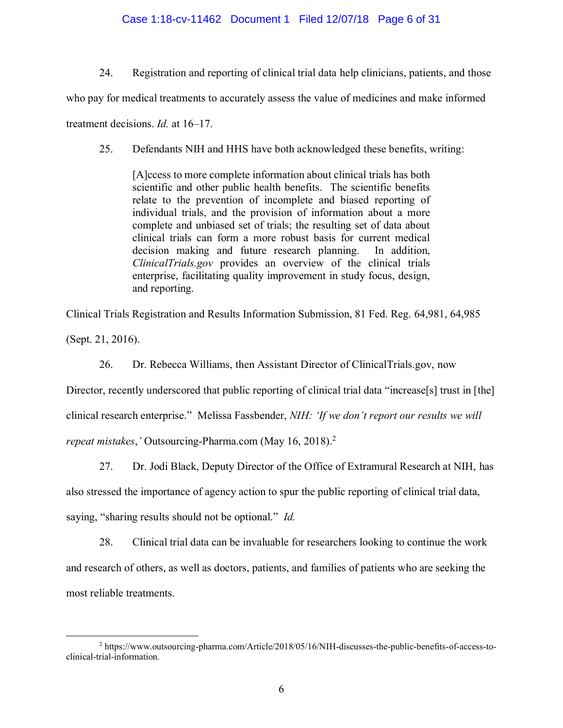### Case 1:18-cv-11462 Document 1 Filed 12/07/18 Page 6 of 31

24. Registration and reporting of clinical trial data help clinicians, patients, and those

who pay for medical treatments to accurately assess the value of medicines and make informed

treatment decisions. *Id.* at 16–17.

25. Defendants NIH and HHS have both acknowledged these benefits, writing:

[A]ccess to more complete information about clinical trials has both scientific and other public health benefits. The scientific benefits relate to the prevention of incomplete and biased reporting of individual trials, and the provision of information about a more complete and unbiased set of trials; the resulting set of data about clinical trials can form a more robust basis for current medical decision making and future research planning. In addition, *ClinicalTrials.gov* provides an overview of the clinical trials enterprise, facilitating quality improvement in study focus, design, and reporting.

Clinical Trials Registration and Results Information Submission, 81 Fed. Reg. 64,981, 64,985 (Sept. 21, 2016).

26. Dr. Rebecca Williams, then Assistant Director of ClinicalTrials.gov, now

Director, recently underscored that public reporting of clinical trial data "increase[s] trust in [the]

clinical research enterprise." Melissa Fassbender, *NIH: 'If we don't report our results we will* 

*repeat mistakes*,*'* Outsourcing-Pharma.com (May 16, 2018).<sup>2</sup>

27. Dr. Jodi Black, Deputy Director of the Office of Extramural Research at NIH, has

also stressed the importance of agency action to spur the public reporting of clinical trial data,

saying, "sharing results should not be optional." *Id.*

28. Clinical trial data can be invaluable for researchers looking to continue the work and research of others, as well as doctors, patients, and families of patients who are seeking the most reliable treatments.

 $\overline{a}$ <sup>2</sup> https://www.outsourcing-pharma.com/Article/2018/05/16/NIH-discusses-the-public-benefits-of-access-toclinical-trial-information.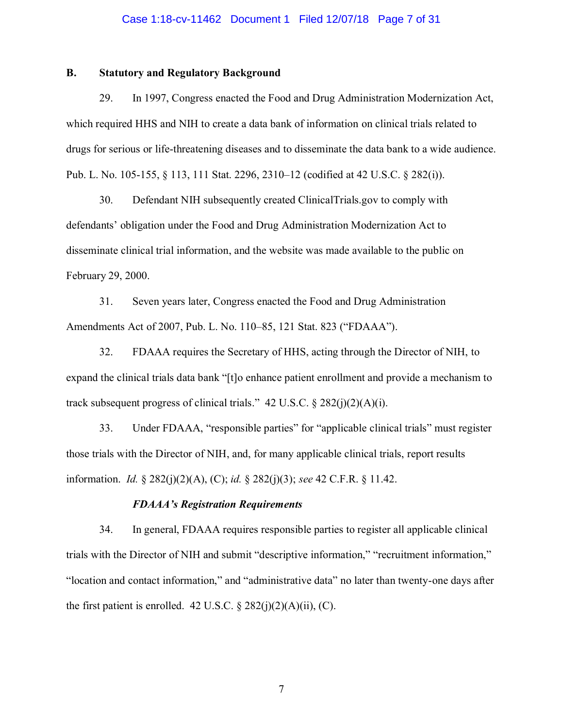#### Case 1:18-cv-11462 Document 1 Filed 12/07/18 Page 7 of 31

### **B. Statutory and Regulatory Background**

29. In 1997, Congress enacted the Food and Drug Administration Modernization Act, which required HHS and NIH to create a data bank of information on clinical trials related to drugs for serious or life-threatening diseases and to disseminate the data bank to a wide audience. Pub. L. No. 105-155, § 113, 111 Stat. 2296, 2310–12 (codified at 42 U.S.C. § 282(i)).

30. Defendant NIH subsequently created ClinicalTrials.gov to comply with defendants' obligation under the Food and Drug Administration Modernization Act to disseminate clinical trial information, and the website was made available to the public on February 29, 2000.

31. Seven years later, Congress enacted the Food and Drug Administration Amendments Act of 2007, Pub. L. No. 110–85, 121 Stat. 823 ("FDAAA").

32. FDAAA requires the Secretary of HHS, acting through the Director of NIH, to expand the clinical trials data bank "[t]o enhance patient enrollment and provide a mechanism to track subsequent progress of clinical trials." 42 U.S.C.  $\S$  282(j)(2)(A)(i).

33. Under FDAAA, "responsible parties" for "applicable clinical trials" must register those trials with the Director of NIH, and, for many applicable clinical trials, report results information. *Id.* § 282(j)(2)(A), (C); *id.* § 282(j)(3); *see* 42 C.F.R. § 11.42.

#### *FDAAA's Registration Requirements*

34. In general, FDAAA requires responsible parties to register all applicable clinical trials with the Director of NIH and submit "descriptive information," "recruitment information," "location and contact information," and "administrative data" no later than twenty-one days after the first patient is enrolled. 42 U.S.C.  $\S 282(j)(2)(A)(ii)$ , (C).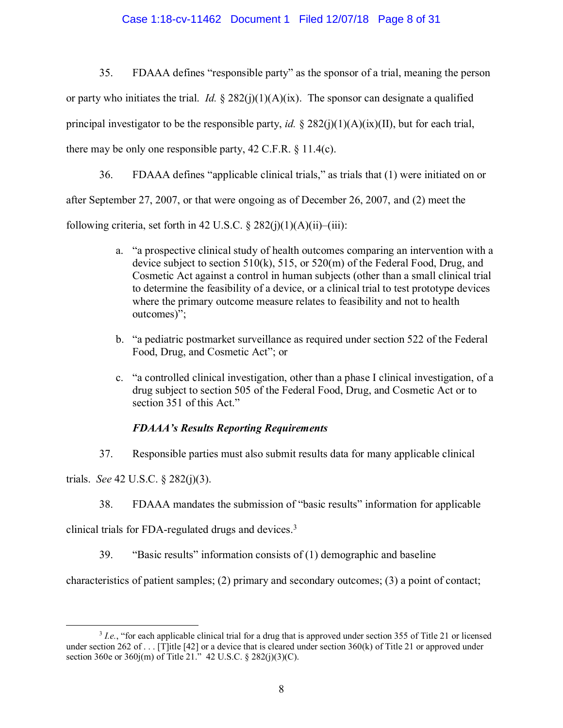### Case 1:18-cv-11462 Document 1 Filed 12/07/18 Page 8 of 31

35. FDAAA defines "responsible party" as the sponsor of a trial, meaning the person or party who initiates the trial. *Id.*  $\S 282(j)(1)(A)(ix)$ . The sponsor can designate a qualified principal investigator to be the responsible party, *id.*  $\S 282(i)(1)(A)(ix)(II)$ , but for each trial, there may be only one responsible party,  $42$  C.F.R.  $\frac{11.4(c)}{c}$ .

36. FDAAA defines "applicable clinical trials," as trials that (1) were initiated on or after September 27, 2007, or that were ongoing as of December 26, 2007, and (2) meet the following criteria, set forth in 42 U.S.C.  $\S 282(i)(1)(A)(ii)$ –(iii):

- a. "a prospective clinical study of health outcomes comparing an intervention with a device subject to section 510(k), 515, or 520(m) of the Federal Food, Drug, and Cosmetic Act against a control in human subjects (other than a small clinical trial to determine the feasibility of a device, or a clinical trial to test prototype devices where the primary outcome measure relates to feasibility and not to health outcomes)";
- b. "a pediatric postmarket surveillance as required under section 522 of the Federal Food, Drug, and Cosmetic Act"; or
- c. "a controlled clinical investigation, other than a phase I clinical investigation, of a drug subject to section 505 of the Federal Food, Drug, and Cosmetic Act or to section 351 of this Act."

# *FDAAA's Results Reporting Requirements*

37. Responsible parties must also submit results data for many applicable clinical

trials. *See* 42 U.S.C. § 282(j)(3).

38. FDAAA mandates the submission of "basic results" information for applicable

clinical trials for FDA-regulated drugs and devices. 3

39. "Basic results" information consists of (1) demographic and baseline

characteristics of patient samples; (2) primary and secondary outcomes; (3) a point of contact;

 $\overline{a}$ <sup>3</sup> *I.e.*, "for each applicable clinical trial for a drug that is approved under section 355 of Title 21 or licensed under section 262 of . . . [T]itle [42] or a device that is cleared under section 360(k) of Title 21 or approved under section 360e or 360j(m) of Title 21." 42 U.S.C. § 282(j)(3)(C).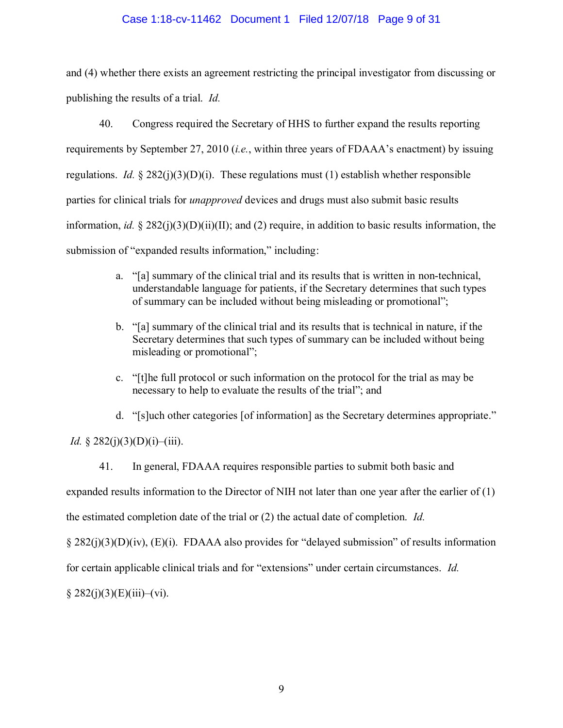### Case 1:18-cv-11462 Document 1 Filed 12/07/18 Page 9 of 31

and (4) whether there exists an agreement restricting the principal investigator from discussing or publishing the results of a trial. *Id.*

40. Congress required the Secretary of HHS to further expand the results reporting requirements by September 27, 2010 (*i.e.*, within three years of FDAAA's enactment) by issuing regulations. *Id.*  $\S 282(j)(3)(D)(i)$ . These regulations must (1) establish whether responsible parties for clinical trials for *unapproved* devices and drugs must also submit basic results information, *id.*  $\frac{8}{282(i)(3)(D)(ii)(II)}$ ; and (2) require, in addition to basic results information, the submission of "expanded results information," including:

- a. "[a] summary of the clinical trial and its results that is written in non-technical, understandable language for patients, if the Secretary determines that such types of summary can be included without being misleading or promotional";
- b. "[a] summary of the clinical trial and its results that is technical in nature, if the Secretary determines that such types of summary can be included without being misleading or promotional";
- c. "[t]he full protocol or such information on the protocol for the trial as may be necessary to help to evaluate the results of the trial"; and

d. "[s]uch other categories [of information] as the Secretary determines appropriate."

*Id.* § 282(j)(3)(D)(i)–(iii).

41. In general, FDAAA requires responsible parties to submit both basic and expanded results information to the Director of NIH not later than one year after the earlier of (1) the estimated completion date of the trial or (2) the actual date of completion. *Id.*

§ 282(j)(3)(D)(iv), (E)(i). FDAAA also provides for "delayed submission" of results information

for certain applicable clinical trials and for "extensions" under certain circumstances. *Id.*

 $§ 282(j)(3)(E)(iii)–(vi).$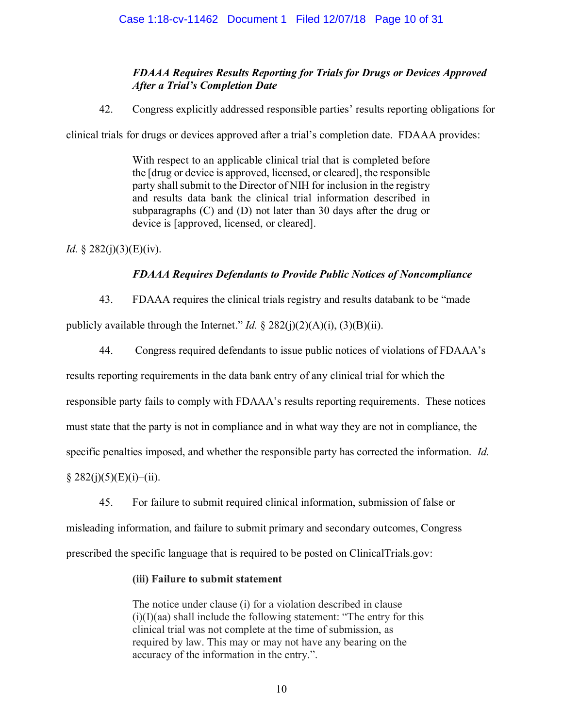# *FDAAA Requires Results Reporting for Trials for Drugs or Devices Approved After a Trial's Completion Date*

42. Congress explicitly addressed responsible parties' results reporting obligations for

<span id="page-9-0"></span>clinical trials for drugs or devices approved after a trial's completion date. FDAAA provides:

With respect to an applicable clinical trial that is completed before the [drug or device is approved, licensed, or cleared], the responsible party shall submit to the Director of NIH for inclusion in the registry and results data bank the clinical trial information described in subparagraphs (C) and (D) not later than 30 days after the drug or device is [approved, licensed, or cleared].

*Id.* § 282(j)(3)(E)(iv).

# *FDAAA Requires Defendants to Provide Public Notices of Noncompliance*

43. FDAAA requires the clinical trials registry and results databank to be "made

publicly available through the Internet." *Id.* § 282(j)(2)(A)(i), (3)(B)(ii).

44. Congress required defendants to issue public notices of violations of FDAAA's

results reporting requirements in the data bank entry of any clinical trial for which the

responsible party fails to comply with FDAAA's results reporting requirements. These notices

must state that the party is not in compliance and in what way they are not in compliance, the

specific penalties imposed, and whether the responsible party has corrected the information. *Id.*

 $§ 282(j)(5)(E)(i)–(ii).$ 

45. For failure to submit required clinical information, submission of false or misleading information, and failure to submit primary and secondary outcomes, Congress prescribed the specific language that is required to be posted on ClinicalTrials.gov:

# **(iii) Failure to submit statement**

The notice under clause (i) for a violation described in clause  $(i)(I)(aa)$  shall include the following statement: "The entry for this clinical trial was not complete at the time of submission, as required by law. This may or may not have any bearing on the accuracy of the information in the entry.".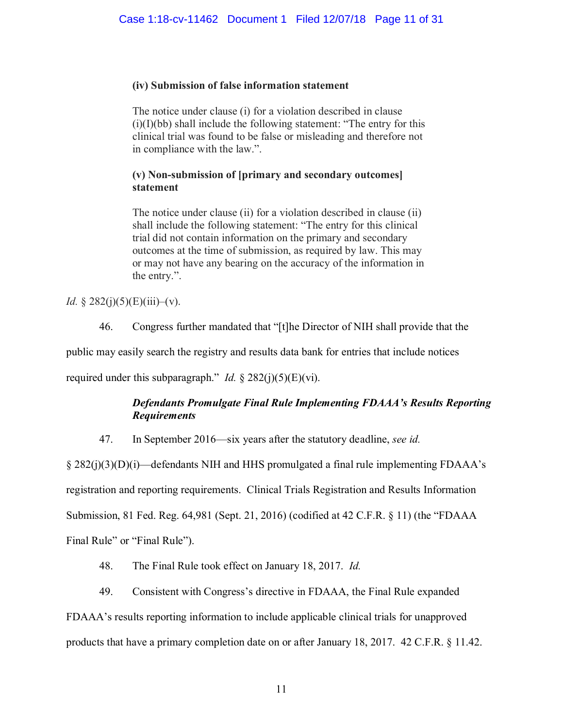# **(iv) Submission of false information statement**

The notice under clause (i) for a violation described in clause  $(i)(I)(bb)$  shall include the following statement: "The entry for this clinical trial was found to be false or misleading and therefore not in compliance with the law.".

# **(v) Non-submission of [primary and secondary outcomes] statement**

The notice under clause (ii) for a violation described in clause (ii) shall include the following statement: "The entry for this clinical trial did not contain information on the primary and secondary outcomes at the time of submission, as required by law. This may or may not have any bearing on the accuracy of the information in the entry.".

*Id.* § 282(j)(5)(E)(iii)–(v).

46. Congress further mandated that "[t]he Director of NIH shall provide that the

public may easily search the registry and results data bank for entries that include notices

required under this subparagraph." *Id.*  $\S 282(j)(5)(E)(vi)$ .

# *Defendants Promulgate Final Rule Implementing FDAAA's Results Reporting Requirements*

47. In September 2016—six years after the statutory deadline, *see id.*

§ 282(j)(3)(D)(i)—defendants NIH and HHS promulgated a final rule implementing FDAAA's registration and reporting requirements. Clinical Trials Registration and Results Information Submission, 81 Fed. Reg. 64,981 (Sept. 21, 2016) (codified at 42 C.F.R. § 11) (the "FDAAA Final Rule" or "Final Rule").

- 48. The Final Rule took effect on January 18, 2017. *Id.*
- 49. Consistent with Congress's directive in FDAAA, the Final Rule expanded

# FDAAA's results reporting information to include applicable clinical trials for unapproved

products that have a primary completion date on or after January 18, 2017. 42 C.F.R. § 11.42.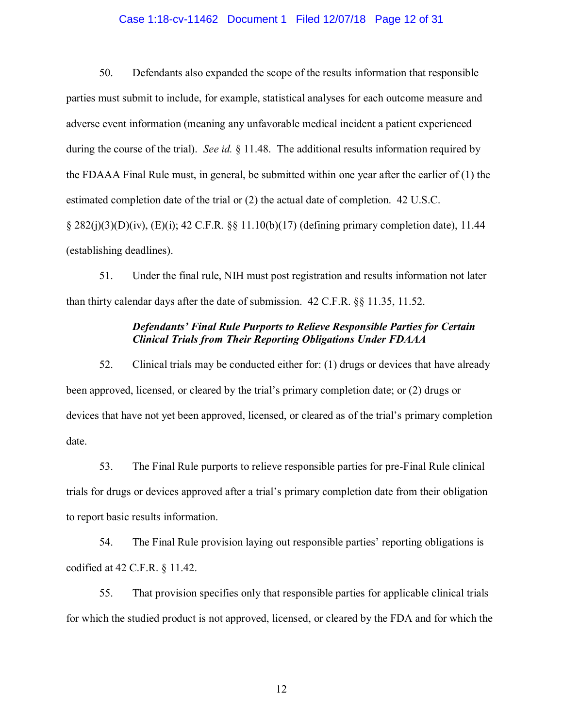#### Case 1:18-cv-11462 Document 1 Filed 12/07/18 Page 12 of 31

50. Defendants also expanded the scope of the results information that responsible parties must submit to include, for example, statistical analyses for each outcome measure and adverse event information (meaning any unfavorable medical incident a patient experienced during the course of the trial). *See id.* § 11.48. The additional results information required by the FDAAA Final Rule must, in general, be submitted within one year after the earlier of (1) the estimated completion date of the trial or (2) the actual date of completion. 42 U.S.C. § 282(j)(3)(D)(iv), (E)(i); 42 C.F.R. §§ 11.10(b)(17) (defining primary completion date), 11.44 (establishing deadlines).

51. Under the final rule, NIH must post registration and results information not later than thirty calendar days after the date of submission. 42 C.F.R. §§ 11.35, 11.52.

## *Defendants' Final Rule Purports to Relieve Responsible Parties for Certain Clinical Trials from Their Reporting Obligations Under FDAAA*

52. Clinical trials may be conducted either for: (1) drugs or devices that have already been approved, licensed, or cleared by the trial's primary completion date; or (2) drugs or devices that have not yet been approved, licensed, or cleared as of the trial's primary completion date.

53. The Final Rule purports to relieve responsible parties for pre-Final Rule clinical trials for drugs or devices approved after a trial's primary completion date from their obligation to report basic results information.

54. The Final Rule provision laying out responsible parties' reporting obligations is codified at 42 C.F.R. § 11.42.

55. That provision specifies only that responsible parties for applicable clinical trials for which the studied product is not approved, licensed, or cleared by the FDA and for which the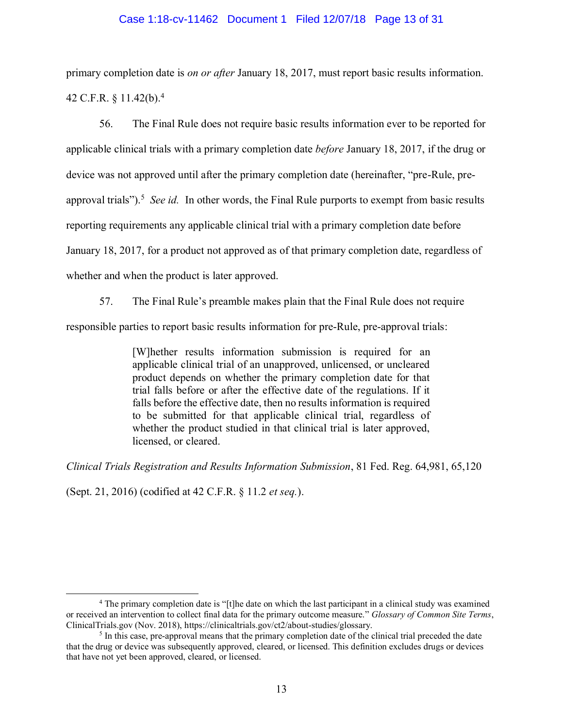### Case 1:18-cv-11462 Document 1 Filed 12/07/18 Page 13 of 31

primary completion date is *on or after* January 18, 2017, must report basic results information. 42 C.F.R. § 11.42(b).<sup>4</sup>

56. The Final Rule does not require basic results information ever to be reported for applicable clinical trials with a primary completion date *before* January 18, 2017, if the drug or device was not approved until after the primary completion date (hereinafter, "pre-Rule, preapproval trials").<sup>5</sup> *See id.* In other words, the Final Rule purports to exempt from basic results reporting requirements any applicable clinical trial with a primary completion date before January 18, 2017, for a product not approved as of that primary completion date, regardless of whether and when the product is later approved.

57. The Final Rule's preamble makes plain that the Final Rule does not require

responsible parties to report basic results information for pre-Rule, pre-approval trials:

[W]hether results information submission is required for an applicable clinical trial of an unapproved, unlicensed, or uncleared product depends on whether the primary completion date for that trial falls before or after the effective date of the regulations. If it falls before the effective date, then no results information is required to be submitted for that applicable clinical trial, regardless of whether the product studied in that clinical trial is later approved, licensed, or cleared.

*Clinical Trials Registration and Results Information Submission*, 81 Fed. Reg. 64,981, 65,120

(Sept. 21, 2016) (codified at 42 C.F.R. § 11.2 *et seq.*).

<sup>&</sup>lt;sup>4</sup> The primary completion date is "[t]he date on which the last participant in a clinical study was examined or received an intervention to collect final data for the primary outcome measure." *Glossary of Common Site Terms*, ClinicalTrials.gov (Nov. 2018), https://clinicaltrials.gov/ct2/about-studies/glossary.

<sup>&</sup>lt;sup>5</sup> In this case, pre-approval means that the primary completion date of the clinical trial preceded the date that the drug or device was subsequently approved, cleared, or licensed. This definition excludes drugs or devices that have not yet been approved, cleared, or licensed.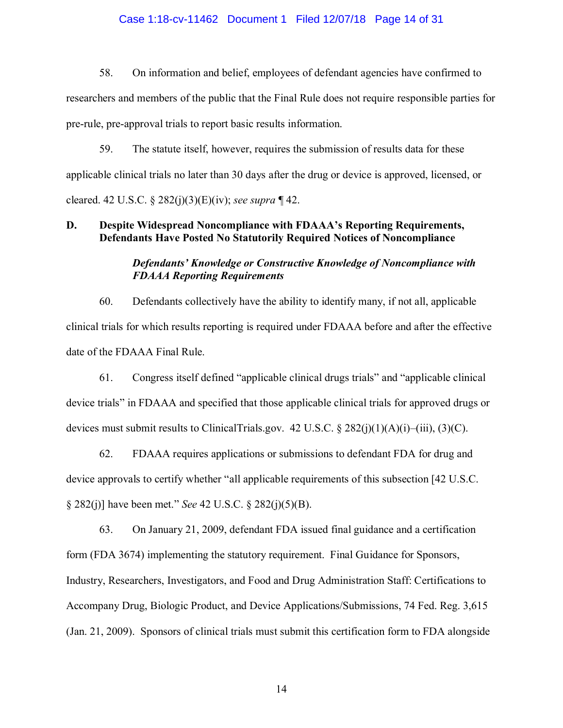#### Case 1:18-cv-11462 Document 1 Filed 12/07/18 Page 14 of 31

58. On information and belief, employees of defendant agencies have confirmed to researchers and members of the public that the Final Rule does not require responsible parties for pre-rule, pre-approval trials to report basic results information.

59. The statute itself, however, requires the submission of results data for these applicable clinical trials no later than 30 days after the drug or device is approved, licensed, or cleared. 42 U.S.C. § 282(j)(3)(E)(iv); *see supra* ¶ [42.](#page-9-0)

## **D. Despite Widespread Noncompliance with FDAAA's Reporting Requirements, Defendants Have Posted No Statutorily Required Notices of Noncompliance**

## *Defendants' Knowledge or Constructive Knowledge of Noncompliance with FDAAA Reporting Requirements*

60. Defendants collectively have the ability to identify many, if not all, applicable clinical trials for which results reporting is required under FDAAA before and after the effective date of the FDAAA Final Rule.

61. Congress itself defined "applicable clinical drugs trials" and "applicable clinical device trials" in FDAAA and specified that those applicable clinical trials for approved drugs or devices must submit results to ClinicalTrials.gov. 42 U.S.C.  $\S 282(j)(1)(A)(i) - (iii)$ , (3)(C).

62. FDAAA requires applications or submissions to defendant FDA for drug and device approvals to certify whether "all applicable requirements of this subsection [42 U.S.C. § 282(j)] have been met." *See* 42 U.S.C. § 282(j)(5)(B).

63. On January 21, 2009, defendant FDA issued final guidance and a certification form (FDA 3674) implementing the statutory requirement. Final Guidance for Sponsors, Industry, Researchers, Investigators, and Food and Drug Administration Staff: Certifications to Accompany Drug, Biologic Product, and Device Applications/Submissions, 74 Fed. Reg. 3,615 (Jan. 21, 2009). Sponsors of clinical trials must submit this certification form to FDA alongside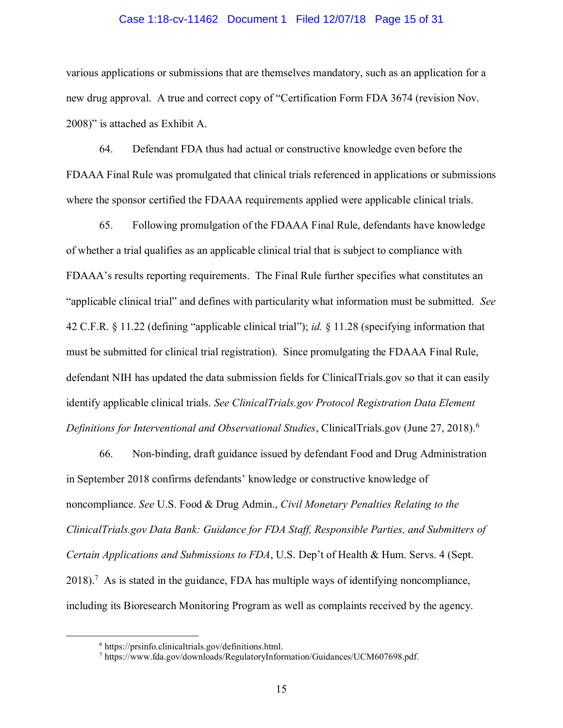#### Case 1:18-cv-11462 Document 1 Filed 12/07/18 Page 15 of 31

various applications or submissions that are themselves mandatory, such as an application for a new drug approval. A true and correct copy of "Certification Form FDA 3674 (revision Nov. 2008)" is attached as Exhibit A.

64. Defendant FDA thus had actual or constructive knowledge even before the FDAAA Final Rule was promulgated that clinical trials referenced in applications or submissions where the sponsor certified the FDAAA requirements applied were applicable clinical trials.

65. Following promulgation of the FDAAA Final Rule, defendants have knowledge of whether a trial qualifies as an applicable clinical trial that is subject to compliance with FDAAA's results reporting requirements. The Final Rule further specifies what constitutes an "applicable clinical trial" and defines with particularity what information must be submitted. *See*  42 C.F.R. § 11.22 (defining "applicable clinical trial"); *id.* § 11.28 (specifying information that must be submitted for clinical trial registration). Since promulgating the FDAAA Final Rule, defendant NIH has updated the data submission fields for ClinicalTrials.gov so that it can easily identify applicable clinical trials. *See ClinicalTrials.gov Protocol Registration Data Element Definitions for Interventional and Observational Studies*, ClinicalTrials.gov (June 27, 2018).<sup>6</sup>

66. Non-binding, draft guidance issued by defendant Food and Drug Administration in September 2018 confirms defendants' knowledge or constructive knowledge of noncompliance. *See* U.S. Food & Drug Admin., *Civil Monetary Penalties Relating to the ClinicalTrials.gov Data Bank: Guidance for FDA Staff, Responsible Parties, and Submitters of Certain Applications and Submissions to FDA*, U.S. Dep't of Health & Hum. Servs. 4 (Sept.  $2018$ ).<sup>7</sup> As is stated in the guidance, FDA has multiple ways of identifying noncompliance, including its Bioresearch Monitoring Program as well as complaints received by the agency.

<sup>6</sup> https://prsinfo.clinicaltrials.gov/definitions.html.

<sup>7</sup> https://www.fda.gov/downloads/RegulatoryInformation/Guidances/UCM607698.pdf.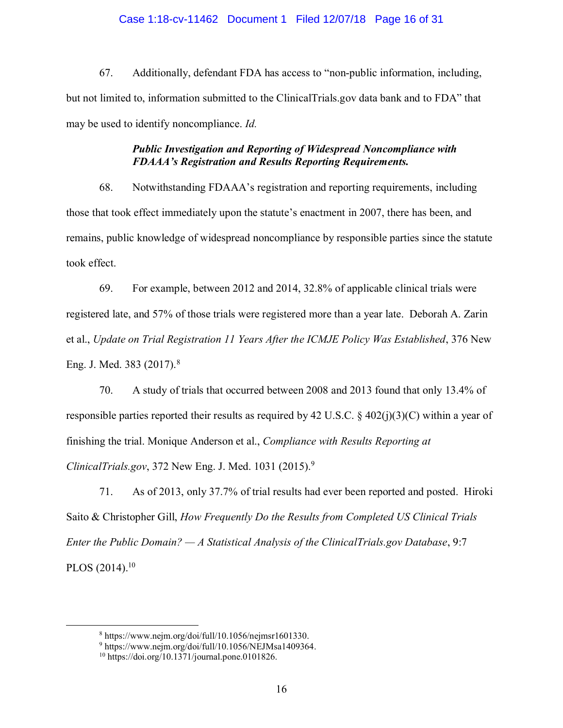### Case 1:18-cv-11462 Document 1 Filed 12/07/18 Page 16 of 31

67. Additionally, defendant FDA has access to "non-public information, including, but not limited to, information submitted to the ClinicalTrials.gov data bank and to FDA" that may be used to identify noncompliance. *Id.*

# *Public Investigation and Reporting of Widespread Noncompliance with FDAAA's Registration and Results Reporting Requirements.*

68. Notwithstanding FDAAA's registration and reporting requirements, including those that took effect immediately upon the statute's enactment in 2007, there has been, and remains, public knowledge of widespread noncompliance by responsible parties since the statute took effect.

69. For example, between 2012 and 2014, 32.8% of applicable clinical trials were registered late, and 57% of those trials were registered more than a year late. Deborah A. Zarin et al., *Update on Trial Registration 11 Years After the ICMJE Policy Was Established*, 376 New Eng. J. Med. 383 (2017).<sup>8</sup>

70. A study of trials that occurred between 2008 and 2013 found that only 13.4% of responsible parties reported their results as required by 42 U.S.C.  $\frac{2}{3}$  402(j)(3)(C) within a year of finishing the trial. Monique Anderson et al., *Compliance with Results Reporting at ClinicalTrials.gov*, 372 New Eng. J. Med. 1031 (2015).<sup>9</sup>

71. As of 2013, only 37.7% of trial results had ever been reported and posted. Hiroki Saito & Christopher Gill, *How Frequently Do the Results from Completed US Clinical Trials Enter the Public Domain? — A Statistical Analysis of the ClinicalTrials.gov Database*, 9:7 PLOS  $(2014).^{10}$ 

<sup>8</sup> https://www.nejm.org/doi/full/10.1056/nejmsr1601330.

<sup>9</sup> https://www.nejm.org/doi/full/10.1056/NEJMsa1409364.

 $10 \text{ https://doi.org/10.1371/journal.pone.0101826.}$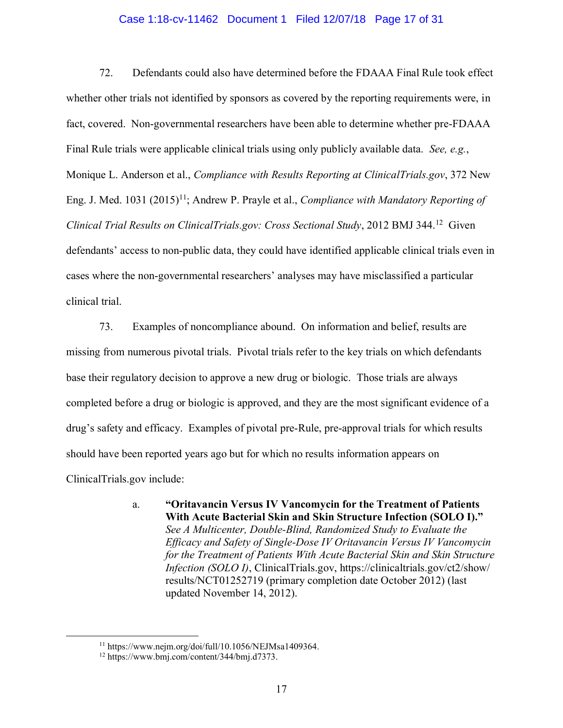#### Case 1:18-cv-11462 Document 1 Filed 12/07/18 Page 17 of 31

72. Defendants could also have determined before the FDAAA Final Rule took effect whether other trials not identified by sponsors as covered by the reporting requirements were, in fact, covered. Non-governmental researchers have been able to determine whether pre-FDAAA Final Rule trials were applicable clinical trials using only publicly available data. *See, e.g.*, Monique L. Anderson et al., *Compliance with Results Reporting at ClinicalTrials.gov*, 372 New Eng. J. Med. 1031 (2015)<sup>11</sup>; Andrew P. Prayle et al., *Compliance with Mandatory Reporting of Clinical Trial Results on ClinicalTrials.gov: Cross Sectional Study*, 2012 BMJ 344.<sup>12</sup> Given defendants' access to non-public data, they could have identified applicable clinical trials even in cases where the non-governmental researchers' analyses may have misclassified a particular clinical trial.

<span id="page-16-0"></span>73. Examples of noncompliance abound. On information and belief, results are missing from numerous pivotal trials. Pivotal trials refer to the key trials on which defendants base their regulatory decision to approve a new drug or biologic. Those trials are always completed before a drug or biologic is approved, and they are the most significant evidence of a drug's safety and efficacy. Examples of pivotal pre-Rule, pre-approval trials for which results should have been reported years ago but for which no results information appears on ClinicalTrials.gov include:

> a. **"Oritavancin Versus IV Vancomycin for the Treatment of Patients With Acute Bacterial Skin and Skin Structure Infection (SOLO I)."** *See A Multicenter, Double-Blind, Randomized Study to Evaluate the Efficacy and Safety of Single-Dose IV Oritavancin Versus IV Vancomycin for the Treatment of Patients With Acute Bacterial Skin and Skin Structure Infection (SOLO I)*, ClinicalTrials.gov, https://clinicaltrials.gov/ct2/show/ results/NCT01252719 (primary completion date October 2012) (last updated November 14, 2012).

 $11 \text{ https://www.nejm.org/doi/full/10.1056/NEJMsa1409364.}$ 

<sup>12</sup> https://www.bmj.com/content/344/bmj.d7373.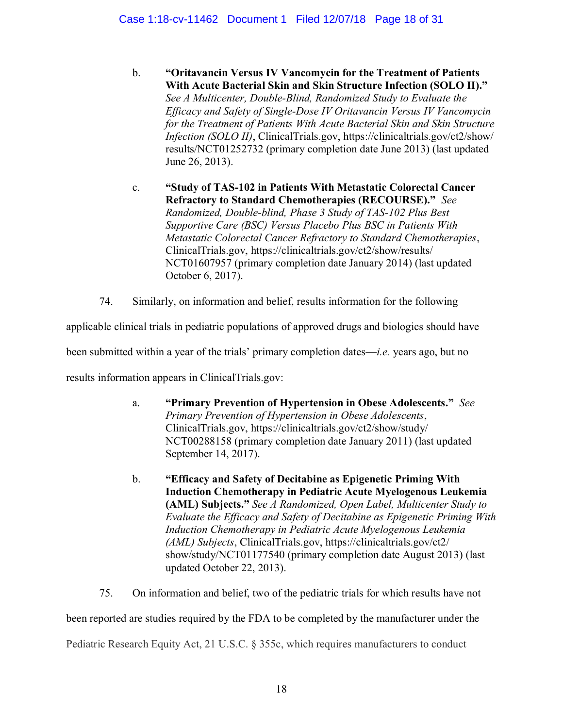- b. **"Oritavancin Versus IV Vancomycin for the Treatment of Patients With Acute Bacterial Skin and Skin Structure Infection (SOLO II)."** *See A Multicenter, Double-Blind, Randomized Study to Evaluate the Efficacy and Safety of Single-Dose IV Oritavancin Versus IV Vancomycin for the Treatment of Patients With Acute Bacterial Skin and Skin Structure Infection (SOLO II)*, ClinicalTrials.gov, https://clinicaltrials.gov/ct2/show/ results/NCT01252732 (primary completion date June 2013) (last updated June 26, 2013).
- c. **"Study of TAS-102 in Patients With Metastatic Colorectal Cancer Refractory to Standard Chemotherapies (RECOURSE)."** *See Randomized, Double-blind, Phase 3 Study of TAS-102 Plus Best Supportive Care (BSC) Versus Placebo Plus BSC in Patients With Metastatic Colorectal Cancer Refractory to Standard Chemotherapies*, ClinicalTrials.gov, https://clinicaltrials.gov/ct2/show/results/ NCT01607957 (primary completion date January 2014) (last updated October 6, 2017).
- 74. Similarly, on information and belief, results information for the following

<span id="page-17-0"></span>applicable clinical trials in pediatric populations of approved drugs and biologics should have

been submitted within a year of the trials' primary completion dates—*i.e.* years ago, but no

results information appears in ClinicalTrials.gov:

- a. **"Primary Prevention of Hypertension in Obese Adolescents."** *See Primary Prevention of Hypertension in Obese Adolescents*, ClinicalTrials.gov, https://clinicaltrials.gov/ct2/show/study/ NCT00288158 (primary completion date January 2011) (last updated September 14, 2017).
- b. **"Efficacy and Safety of Decitabine as Epigenetic Priming With Induction Chemotherapy in Pediatric Acute Myelogenous Leukemia (AML) Subjects."** *See A Randomized, Open Label, Multicenter Study to Evaluate the Efficacy and Safety of Decitabine as Epigenetic Priming With Induction Chemotherapy in Pediatric Acute Myelogenous Leukemia (AML) Subjects*, ClinicalTrials.gov, https://clinicaltrials.gov/ct2/ show/study/NCT01177540 (primary completion date August 2013) (last updated October 22, 2013).

<span id="page-17-1"></span>75. On information and belief, two of the pediatric trials for which results have not

been reported are studies required by the FDA to be completed by the manufacturer under the

Pediatric Research Equity Act, 21 U.S.C. § 355c, which requires manufacturers to conduct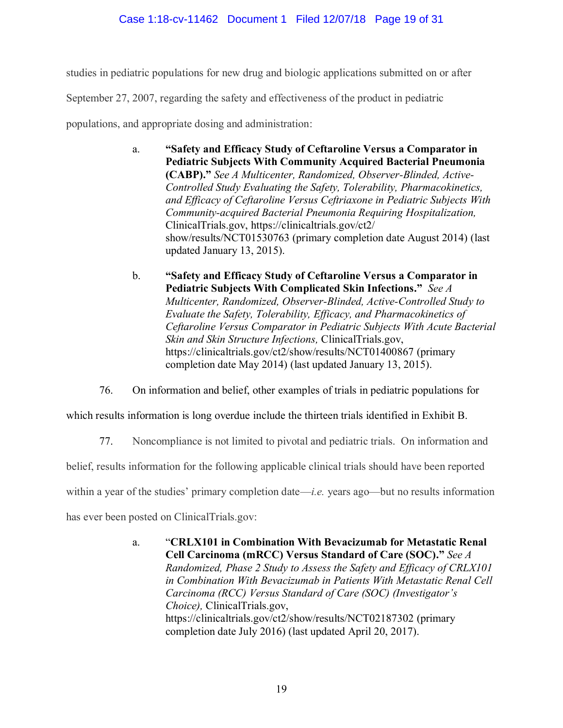# Case 1:18-cv-11462 Document 1 Filed 12/07/18 Page 19 of 31

studies in pediatric populations for new drug and biologic applications submitted on or after

September 27, 2007, regarding the safety and effectiveness of the product in pediatric

populations, and appropriate dosing and administration:

- a. **"Safety and Efficacy Study of Ceftaroline Versus a Comparator in Pediatric Subjects With Community Acquired Bacterial Pneumonia (CABP)."** *See A Multicenter, Randomized, Observer-Blinded, Active-Controlled Study Evaluating the Safety, Tolerability, Pharmacokinetics, and Efficacy of Ceftaroline Versus Ceftriaxone in Pediatric Subjects With Community-acquired Bacterial Pneumonia Requiring Hospitalization,*  ClinicalTrials.gov, https://clinicaltrials.gov/ct2/ show/results/NCT01530763 (primary completion date August 2014) (last updated January 13, 2015).
- b. **"Safety and Efficacy Study of Ceftaroline Versus a Comparator in Pediatric Subjects With Complicated Skin Infections."** *See A Multicenter, Randomized, Observer-Blinded, Active-Controlled Study to Evaluate the Safety, Tolerability, Efficacy, and Pharmacokinetics of Ceftaroline Versus Comparator in Pediatric Subjects With Acute Bacterial Skin and Skin Structure Infections,* ClinicalTrials.gov, https://clinicaltrials.gov/ct2/show/results/NCT01400867 (primary completion date May 2014) (last updated January 13, 2015).

76. On information and belief, other examples of trials in pediatric populations for

<span id="page-18-0"></span>which results information is long overdue include the thirteen trials identified in Exhibit B.

77. Noncompliance is not limited to pivotal and pediatric trials. On information and

belief, results information for the following applicable clinical trials should have been reported

within a year of the studies' primary completion date—*i.e.* years ago—but no results information

has ever been posted on ClinicalTrials.gov:

a. "**CRLX101 in Combination With Bevacizumab for Metastatic Renal Cell Carcinoma (mRCC) Versus Standard of Care (SOC)."** *See A Randomized, Phase 2 Study to Assess the Safety and Efficacy of CRLX101 in Combination With Bevacizumab in Patients With Metastatic Renal Cell Carcinoma (RCC) Versus Standard of Care (SOC) (Investigator's Choice),* ClinicalTrials.gov, https://clinicaltrials.gov/ct2/show/results/NCT02187302 (primary completion date July 2016) (last updated April 20, 2017).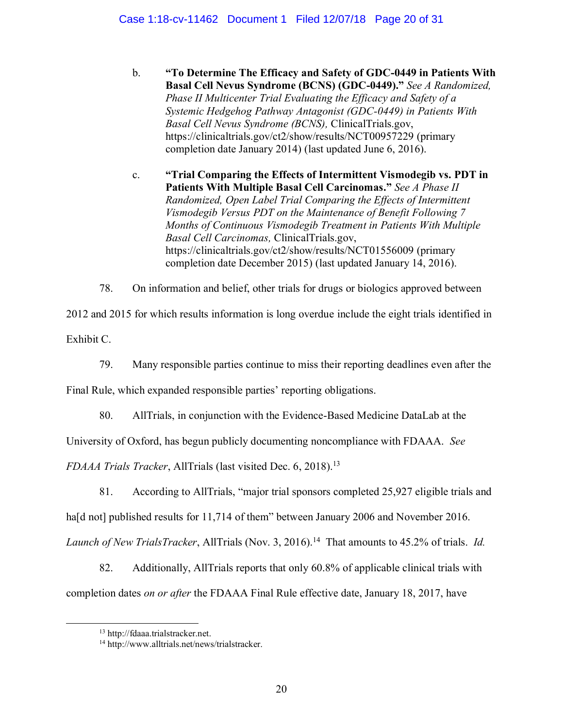b. **"To Determine The Efficacy and Safety of GDC-0449 in Patients With Basal Cell Nevus Syndrome (BCNS) (GDC-0449)."** *See A Randomized, Phase II Multicenter Trial Evaluating the Efficacy and Safety of a Systemic Hedgehog Pathway Antagonist (GDC-0449) in Patients With Basal Cell Nevus Syndrome (BCNS),* ClinicalTrials.gov, https://clinicaltrials.gov/ct2/show/results/NCT00957229 (primary completion date January 2014) (last updated June 6, 2016).

c. **"Trial Comparing the Effects of Intermittent Vismodegib vs. PDT in Patients With Multiple Basal Cell Carcinomas."** *See A Phase II Randomized, Open Label Trial Comparing the Effects of Intermittent Vismodegib Versus PDT on the Maintenance of Benefit Following 7 Months of Continuous Vismodegib Treatment in Patients With Multiple Basal Cell Carcinomas,* ClinicalTrials.gov, https://clinicaltrials.gov/ct2/show/results/NCT01556009 (primary completion date December 2015) (last updated January 14, 2016).

78. On information and belief, other trials for drugs or biologics approved between

2012 and 2015 for which results information is long overdue include the eight trials identified in Exhibit C.

79. Many responsible parties continue to miss their reporting deadlines even after the

Final Rule, which expanded responsible parties' reporting obligations.

80. AllTrials, in conjunction with the Evidence-Based Medicine DataLab at the

University of Oxford, has begun publicly documenting noncompliance with FDAAA. *See* 

*FDAAA Trials Tracker*, AllTrials (last visited Dec. 6, 2018).<sup>13</sup>

81. According to AllTrials, "major trial sponsors completed 25,927 eligible trials and

hald not] published results for 11,714 of them" between January 2006 and November 2016.

Launch of New TrialsTracker, AllTrials (Nov. 3, 2016).<sup>14</sup> That amounts to 45.2% of trials. *Id.* 

82. Additionally, AllTrials reports that only 60.8% of applicable clinical trials with completion dates *on or after* the FDAAA Final Rule effective date, January 18, 2017, have

<sup>13</sup> http://fdaaa.trialstracker.net.

<sup>14</sup> http://www.alltrials.net/news/trialstracker.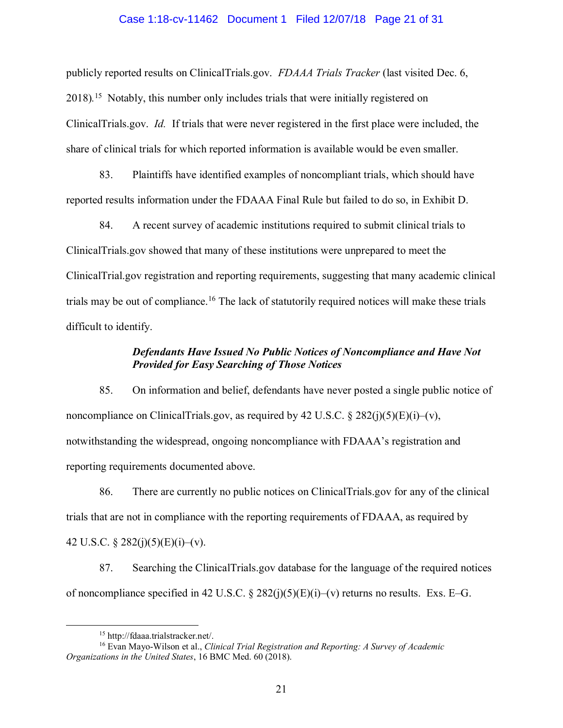#### Case 1:18-cv-11462 Document 1 Filed 12/07/18 Page 21 of 31

publicly reported results on ClinicalTrials.gov. *FDAAA Trials Tracker* (last visited Dec. 6, 2018).<sup>15</sup> Notably, this number only includes trials that were initially registered on ClinicalTrials.gov. *Id.* If trials that were never registered in the first place were included, the share of clinical trials for which reported information is available would be even smaller.

83. Plaintiffs have identified examples of noncompliant trials, which should have reported results information under the FDAAA Final Rule but failed to do so, in Exhibit D.

84. A recent survey of academic institutions required to submit clinical trials to ClinicalTrials.gov showed that many of these institutions were unprepared to meet the ClinicalTrial.gov registration and reporting requirements, suggesting that many academic clinical trials may be out of compliance.<sup>16</sup> The lack of statutorily required notices will make these trials difficult to identify.

## *Defendants Have Issued No Public Notices of Noncompliance and Have Not Provided for Easy Searching of Those Notices*

85. On information and belief, defendants have never posted a single public notice of noncompliance on ClinicalTrials.gov, as required by 42 U.S.C.  $\S 282(i)(5)(E)(i)-(v)$ , notwithstanding the widespread, ongoing noncompliance with FDAAA's registration and reporting requirements documented above.

86. There are currently no public notices on ClinicalTrials.gov for any of the clinical trials that are not in compliance with the reporting requirements of FDAAA, as required by 42 U.S.C. § 282(j)(5)(E)(i)–(v).

87. Searching the ClinicalTrials.gov database for the language of the required notices of noncompliance specified in 42 U.S.C.  $\S 282(j)(5)(E)(i)$ –(v) returns no results. Exs. E–G.

<sup>15</sup> http://fdaaa.trialstracker.net/.

<sup>16</sup> Evan Mayo-Wilson et al., *Clinical Trial Registration and Reporting: A Survey of Academic Organizations in the United States*, 16 BMC Med. 60 (2018).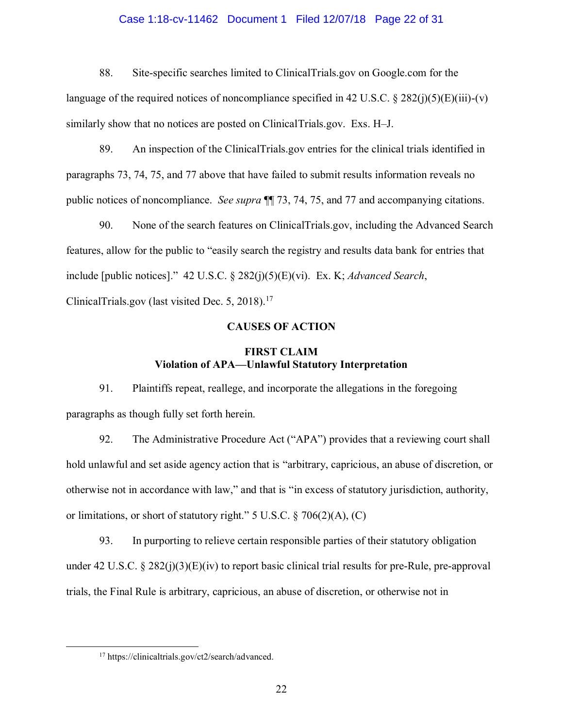#### Case 1:18-cv-11462 Document 1 Filed 12/07/18 Page 22 of 31

88. Site-specific searches limited to ClinicalTrials.gov on Google.com for the language of the required notices of noncompliance specified in 42 U.S.C. § 282(j)(5)(E)(iii)-(v) similarly show that no notices are posted on ClinicalTrials.gov. Exs. H–J.

89. An inspection of the ClinicalTrials.gov entries for the clinical trials identified in paragraphs 73, [74,](#page-17-0) [75,](#page-17-1) and [77](#page-18-0) above that have failed to submit results information reveals no public notices of noncompliance. *See supra* ¶¶ [73,](#page-16-0) [74,](#page-17-0) 75, and [77](#page-18-0) and accompanying citations.

90. None of the search features on ClinicalTrials.gov, including the Advanced Search features, allow for the public to "easily search the registry and results data bank for entries that include [public notices]." 42 U.S.C. § 282(j)(5)(E)(vi). Ex. K; *Advanced Search*, ClinicalTrials.gov (last visited Dec. 5, 2018).<sup>17</sup>

#### **CAUSES OF ACTION**

## **FIRST CLAIM Violation of APA—Unlawful Statutory Interpretation**

91. Plaintiffs repeat, reallege, and incorporate the allegations in the foregoing paragraphs as though fully set forth herein.

92. The Administrative Procedure Act ("APA") provides that a reviewing court shall hold unlawful and set aside agency action that is "arbitrary, capricious, an abuse of discretion, or otherwise not in accordance with law," and that is "in excess of statutory jurisdiction, authority, or limitations, or short of statutory right." 5 U.S.C. § 706(2)(A), (C)

93. In purporting to relieve certain responsible parties of their statutory obligation under 42 U.S.C. § 282(j)(3)(E)(iv) to report basic clinical trial results for pre-Rule, pre-approval trials, the Final Rule is arbitrary, capricious, an abuse of discretion, or otherwise not in

<sup>17</sup> https://clinicaltrials.gov/ct2/search/advanced.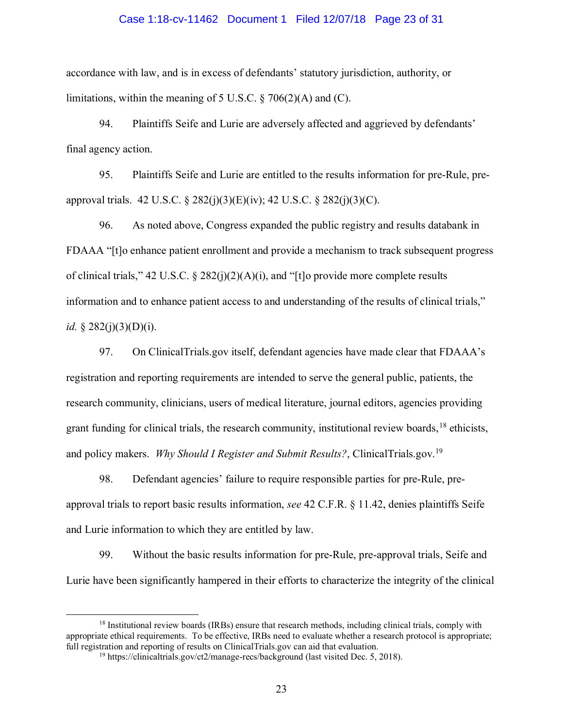#### Case 1:18-cv-11462 Document 1 Filed 12/07/18 Page 23 of 31

accordance with law, and is in excess of defendants' statutory jurisdiction, authority, or limitations, within the meaning of 5 U.S.C.  $\S$  706(2)(A) and (C).

94. Plaintiffs Seife and Lurie are adversely affected and aggrieved by defendants' final agency action.

95. Plaintiffs Seife and Lurie are entitled to the results information for pre-Rule, preapproval trials. 42 U.S.C.  $\S 282(i)(3)(E)(iv)$ ; 42 U.S.C.  $\S 282(i)(3)(C)$ .

96. As noted above, Congress expanded the public registry and results databank in FDAAA "[t]o enhance patient enrollment and provide a mechanism to track subsequent progress of clinical trials," 42 U.S.C. § 282(j)(2)(A)(i), and "[t]o provide more complete results information and to enhance patient access to and understanding of the results of clinical trials," *id.* § 282(*j*)(3)(D)(*j*).

97. On ClinicalTrials.gov itself, defendant agencies have made clear that FDAAA's registration and reporting requirements are intended to serve the general public, patients, the research community, clinicians, users of medical literature, journal editors, agencies providing grant funding for clinical trials, the research community, institutional review boards, <sup>18</sup> ethicists, and policy makers. *Why Should I Register and Submit Results?*, ClinicalTrials.gov.<sup>19</sup>

98. Defendant agencies' failure to require responsible parties for pre-Rule, preapproval trials to report basic results information, *see* 42 C.F.R. § 11.42, denies plaintiffs Seife and Lurie information to which they are entitled by law.

99. Without the basic results information for pre-Rule, pre-approval trials, Seife and Lurie have been significantly hampered in their efforts to characterize the integrity of the clinical

<sup>&</sup>lt;sup>18</sup> Institutional review boards (IRBs) ensure that research methods, including clinical trials, comply with appropriate ethical requirements. To be effective, IRBs need to evaluate whether a research protocol is appropriate; full registration and reporting of results on ClinicalTrials.gov can aid that evaluation.

<sup>&</sup>lt;sup>19</sup> https://clinicaltrials.gov/ct2/manage-recs/background (last visited Dec. 5, 2018).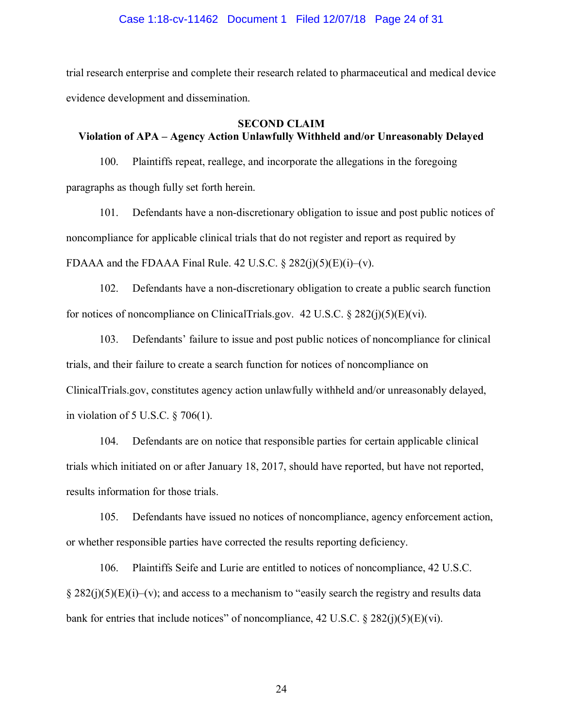#### Case 1:18-cv-11462 Document 1 Filed 12/07/18 Page 24 of 31

trial research enterprise and complete their research related to pharmaceutical and medical device evidence development and dissemination.

#### **SECOND CLAIM**

# **Violation of APA – Agency Action Unlawfully Withheld and/or Unreasonably Delayed**

100. Plaintiffs repeat, reallege, and incorporate the allegations in the foregoing paragraphs as though fully set forth herein.

101. Defendants have a non-discretionary obligation to issue and post public notices of noncompliance for applicable clinical trials that do not register and report as required by FDAAA and the FDAAA Final Rule. 42 U.S.C.  $\S$  282(j)(5)(E)(j)–(v).

102. Defendants have a non-discretionary obligation to create a public search function for notices of noncompliance on ClinicalTrials.gov.  $42 \text{ U.S.C.} \$  $8 \frac{282}{j}(\frac{5}{E})(vi)$ .

103. Defendants' failure to issue and post public notices of noncompliance for clinical trials, and their failure to create a search function for notices of noncompliance on ClinicalTrials.gov, constitutes agency action unlawfully withheld and/or unreasonably delayed, in violation of 5 U.S.C. § 706(1).

104. Defendants are on notice that responsible parties for certain applicable clinical trials which initiated on or after January 18, 2017, should have reported, but have not reported, results information for those trials.

105. Defendants have issued no notices of noncompliance, agency enforcement action, or whether responsible parties have corrected the results reporting deficiency.

106. Plaintiffs Seife and Lurie are entitled to notices of noncompliance, 42 U.S.C.  $\S 282(i)(5)(E)(i)-(v)$ ; and access to a mechanism to "easily search the registry and results data bank for entries that include notices" of noncompliance,  $42 \text{ U.S.C.}$  §  $282(j)(5)(E)(vi)$ .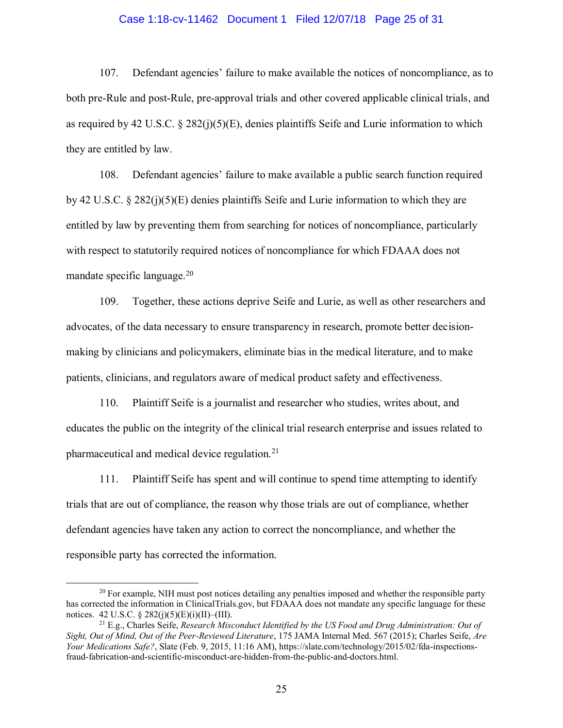#### Case 1:18-cv-11462 Document 1 Filed 12/07/18 Page 25 of 31

107. Defendant agencies' failure to make available the notices of noncompliance, as to both pre-Rule and post-Rule, pre-approval trials and other covered applicable clinical trials, and as required by 42 U.S.C.  $\S$  282(j)(5)(E), denies plaintiffs Seife and Lurie information to which they are entitled by law.

108. Defendant agencies' failure to make available a public search function required by 42 U.S.C.  $\S 282(i)(5)(E)$  denies plaintiffs Seife and Lurie information to which they are entitled by law by preventing them from searching for notices of noncompliance, particularly with respect to statutorily required notices of noncompliance for which FDAAA does not mandate specific language.<sup>20</sup>

109. Together, these actions deprive Seife and Lurie, as well as other researchers and advocates, of the data necessary to ensure transparency in research, promote better decisionmaking by clinicians and policymakers, eliminate bias in the medical literature, and to make patients, clinicians, and regulators aware of medical product safety and effectiveness.

110. Plaintiff Seife is a journalist and researcher who studies, writes about, and educates the public on the integrity of the clinical trial research enterprise and issues related to pharmaceutical and medical device regulation.<sup>21</sup>

111. Plaintiff Seife has spent and will continue to spend time attempting to identify trials that are out of compliance, the reason why those trials are out of compliance, whether defendant agencies have taken any action to correct the noncompliance, and whether the responsible party has corrected the information.

 $20$  For example, NIH must post notices detailing any penalties imposed and whether the responsible party has corrected the information in ClinicalTrials.gov, but FDAAA does not mandate any specific language for these notices. 42 U.S.C. § 282(j)(5)(E)(j)(II)–(III).

<sup>21</sup> E.g., Charles Seife, *Research Misconduct Identified by the US Food and Drug Administration: Out of Sight, Out of Mind, Out of the Peer-Reviewed Literature*, 175 JAMA Internal Med. 567 (2015); Charles Seife, *Are Your Medications Safe?*, Slate (Feb. 9, 2015, 11:16 AM), https://slate.com/technology/2015/02/fda-inspectionsfraud-fabrication-and-scientific-misconduct-are-hidden-from-the-public-and-doctors.html.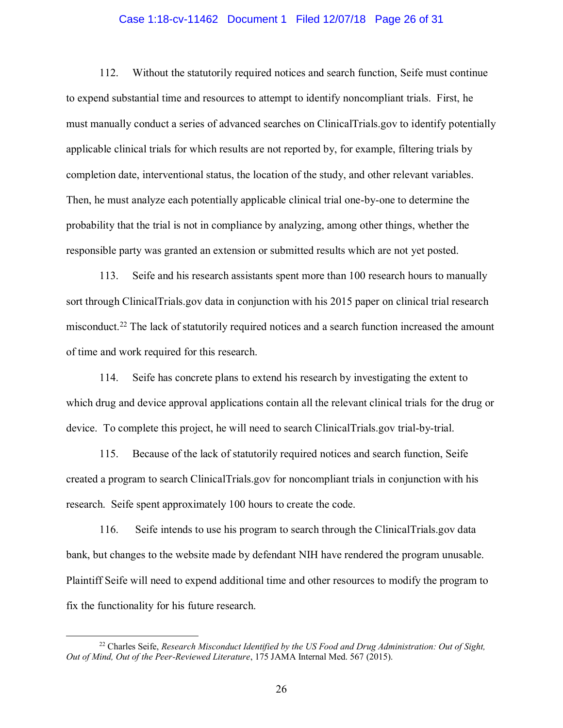#### Case 1:18-cv-11462 Document 1 Filed 12/07/18 Page 26 of 31

112. Without the statutorily required notices and search function, Seife must continue to expend substantial time and resources to attempt to identify noncompliant trials. First, he must manually conduct a series of advanced searches on ClinicalTrials.gov to identify potentially applicable clinical trials for which results are not reported by, for example, filtering trials by completion date, interventional status, the location of the study, and other relevant variables. Then, he must analyze each potentially applicable clinical trial one-by-one to determine the probability that the trial is not in compliance by analyzing, among other things, whether the responsible party was granted an extension or submitted results which are not yet posted.

113. Seife and his research assistants spent more than 100 research hours to manually sort through ClinicalTrials.gov data in conjunction with his 2015 paper on clinical trial research misconduct.<sup>22</sup> The lack of statutorily required notices and a search function increased the amount of time and work required for this research.

114. Seife has concrete plans to extend his research by investigating the extent to which drug and device approval applications contain all the relevant clinical trials for the drug or device. To complete this project, he will need to search ClinicalTrials.gov trial-by-trial.

115. Because of the lack of statutorily required notices and search function, Seife created a program to search ClinicalTrials.gov for noncompliant trials in conjunction with his research. Seife spent approximately 100 hours to create the code.

116. Seife intends to use his program to search through the ClinicalTrials.gov data bank, but changes to the website made by defendant NIH have rendered the program unusable. Plaintiff Seife will need to expend additional time and other resources to modify the program to fix the functionality for his future research.

<sup>22</sup> Charles Seife, *Research Misconduct Identified by the US Food and Drug Administration: Out of Sight, Out of Mind, Out of the Peer-Reviewed Literature*, 175 JAMA Internal Med. 567 (2015).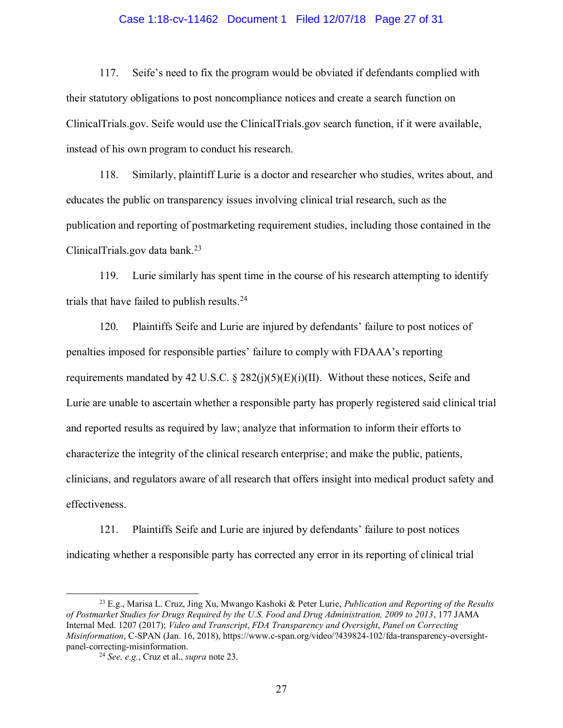#### Case 1:18-cv-11462 Document 1 Filed 12/07/18 Page 27 of 31

117. Seife's need to fix the program would be obviated if defendants complied with their statutory obligations to post noncompliance notices and create a search function on ClinicalTrials.gov. Seife would use the ClinicalTrials.gov search function, if it were available, instead of his own program to conduct his research.

118. Similarly, plaintiff Lurie is a doctor and researcher who studies, writes about, and educates the public on transparency issues involving clinical trial research, such as the publication and reporting of postmarketing requirement studies, including those contained in the ClinicalTrials.gov data bank. $23$ 

<span id="page-26-0"></span>119. Lurie similarly has spent time in the course of his research attempting to identify trials that have failed to publish results. 24

120. Plaintiffs Seife and Lurie are injured by defendants' failure to post notices of penalties imposed for responsible parties' failure to comply with FDAAA's reporting requirements mandated by 42 U.S.C. § 282(j)(5)(E)(i)(II). Without these notices, Seife and Lurie are unable to ascertain whether a responsible party has properly registered said clinical trial and reported results as required by law; analyze that information to inform their efforts to characterize the integrity of the clinical research enterprise; and make the public, patients, clinicians, and regulators aware of all research that offers insight into medical product safety and effectiveness.

121. Plaintiffs Seife and Lurie are injured by defendants' failure to post notices indicating whether a responsible party has corrected any error in its reporting of clinical trial

<sup>23</sup> E.g., Marisa L. Cruz, Jing Xu, Mwango Kashoki & Peter Lurie, *Publication and Reporting of the Results of Postmarket Studies for Drugs Required by the U.S. Food and Drug Administration, 2009 to 2013*, 177 JAMA Internal Med. 1207 (2017); *Video and Transcript*, *FDA Transparency and Oversight*, *Panel on Correcting Misinformation*, C-SPAN (Jan. 16, 2018), https://www.c-span.org/video/?439824-102/fda-transparency-oversightpanel-correcting-misinformation.

<sup>24</sup> *See, e.g.*, Cruz et al., *supra* not[e 23.](#page-26-0)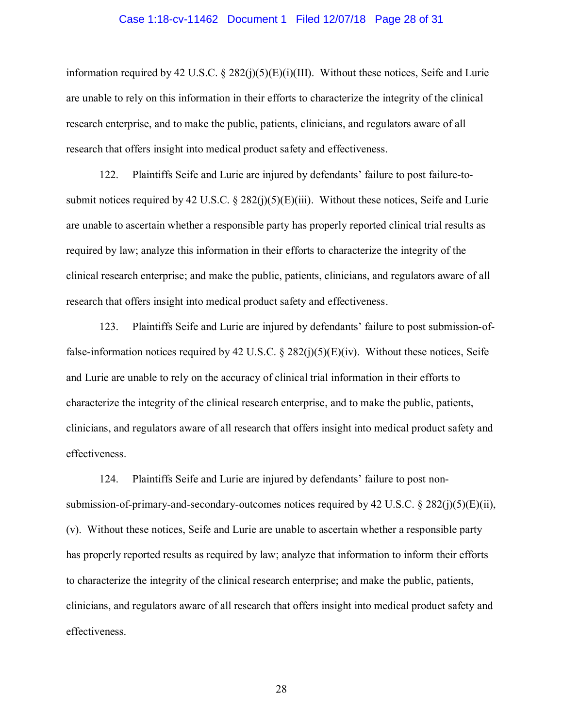#### Case 1:18-cv-11462 Document 1 Filed 12/07/18 Page 28 of 31

information required by 42 U.S.C. § 282(j)(5)(E)(i)(III). Without these notices, Seife and Lurie are unable to rely on this information in their efforts to characterize the integrity of the clinical research enterprise, and to make the public, patients, clinicians, and regulators aware of all research that offers insight into medical product safety and effectiveness.

122. Plaintiffs Seife and Lurie are injured by defendants' failure to post failure-tosubmit notices required by 42 U.S.C.  $\S 282(j)(5)(E)(iii)$ . Without these notices, Seife and Lurie are unable to ascertain whether a responsible party has properly reported clinical trial results as required by law; analyze this information in their efforts to characterize the integrity of the clinical research enterprise; and make the public, patients, clinicians, and regulators aware of all research that offers insight into medical product safety and effectiveness.

123. Plaintiffs Seife and Lurie are injured by defendants' failure to post submission-offalse-information notices required by 42 U.S.C.  $\S$  282(j)(5)(E)(iv). Without these notices, Seife and Lurie are unable to rely on the accuracy of clinical trial information in their efforts to characterize the integrity of the clinical research enterprise, and to make the public, patients, clinicians, and regulators aware of all research that offers insight into medical product safety and effectiveness.

124. Plaintiffs Seife and Lurie are injured by defendants' failure to post nonsubmission-of-primary-and-secondary-outcomes notices required by 42 U.S.C. § 282(j)(5)(E)(ii), (v). Without these notices, Seife and Lurie are unable to ascertain whether a responsible party has properly reported results as required by law; analyze that information to inform their efforts to characterize the integrity of the clinical research enterprise; and make the public, patients, clinicians, and regulators aware of all research that offers insight into medical product safety and effectiveness.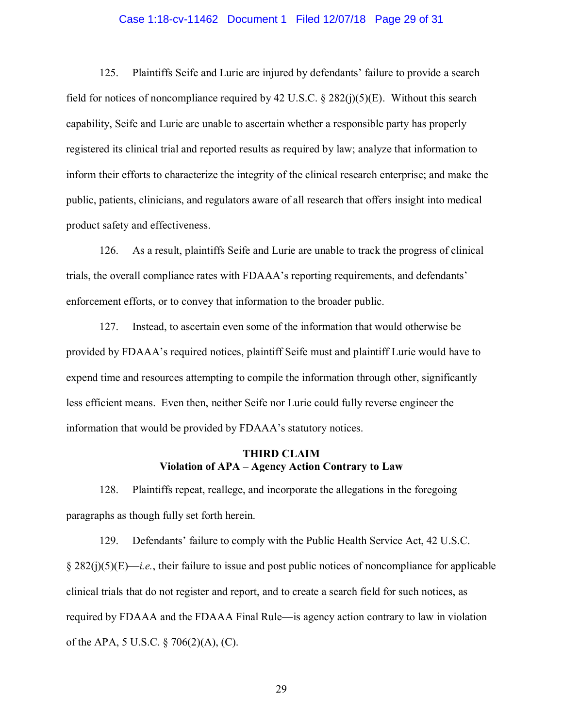#### Case 1:18-cv-11462 Document 1 Filed 12/07/18 Page 29 of 31

125. Plaintiffs Seife and Lurie are injured by defendants' failure to provide a search field for notices of noncompliance required by 42 U.S.C.  $\S$  282(j)(5)(E). Without this search capability, Seife and Lurie are unable to ascertain whether a responsible party has properly registered its clinical trial and reported results as required by law; analyze that information to inform their efforts to characterize the integrity of the clinical research enterprise; and make the public, patients, clinicians, and regulators aware of all research that offers insight into medical product safety and effectiveness.

126. As a result, plaintiffs Seife and Lurie are unable to track the progress of clinical trials, the overall compliance rates with FDAAA's reporting requirements, and defendants' enforcement efforts, or to convey that information to the broader public.

127. Instead, to ascertain even some of the information that would otherwise be provided by FDAAA's required notices, plaintiff Seife must and plaintiff Lurie would have to expend time and resources attempting to compile the information through other, significantly less efficient means. Even then, neither Seife nor Lurie could fully reverse engineer the information that would be provided by FDAAA's statutory notices.

## **THIRD CLAIM Violation of APA – Agency Action Contrary to Law**

128. Plaintiffs repeat, reallege, and incorporate the allegations in the foregoing paragraphs as though fully set forth herein.

129. Defendants' failure to comply with the Public Health Service Act, 42 U.S.C. § 282(j)(5)(E)—*i.e.*, their failure to issue and post public notices of noncompliance for applicable clinical trials that do not register and report, and to create a search field for such notices, as required by FDAAA and the FDAAA Final Rule—is agency action contrary to law in violation of the APA, 5 U.S.C. § 706(2)(A), (C).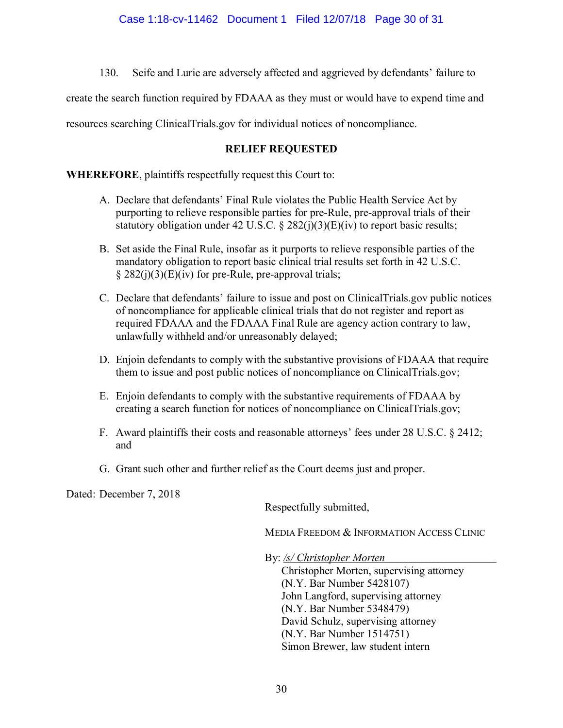130. Seife and Lurie are adversely affected and aggrieved by defendants' failure to

create the search function required by FDAAA as they must or would have to expend time and

resources searching ClinicalTrials.gov for individual notices of noncompliance.

# **RELIEF REQUESTED**

**WHEREFORE**, plaintiffs respectfully request this Court to:

- A. Declare that defendants' Final Rule violates the Public Health Service Act by purporting to relieve responsible parties for pre-Rule, pre-approval trials of their statutory obligation under 42 U.S.C.  $\S 282(i)(3)(E)(iv)$  to report basic results;
- B. Set aside the Final Rule, insofar as it purports to relieve responsible parties of the mandatory obligation to report basic clinical trial results set forth in 42 U.S.C.  $§$  282(j)(3)(E)(iv) for pre-Rule, pre-approval trials;
- C. Declare that defendants' failure to issue and post on ClinicalTrials.gov public notices of noncompliance for applicable clinical trials that do not register and report as required FDAAA and the FDAAA Final Rule are agency action contrary to law, unlawfully withheld and/or unreasonably delayed;
- D. Enjoin defendants to comply with the substantive provisions of FDAAA that require them to issue and post public notices of noncompliance on ClinicalTrials.gov;
- E. Enjoin defendants to comply with the substantive requirements of FDAAA by creating a search function for notices of noncompliance on ClinicalTrials.gov;
- F. Award plaintiffs their costs and reasonable attorneys' fees under 28 U.S.C. § 2412; and
- G. Grant such other and further relief as the Court deems just and proper.

Dated: December 7, 2018

Respectfully submitted,

MEDIA FREEDOM & INFORMATION ACCESS CLINIC

By: */s/ Christopher Morten*

Christopher Morten, supervising attorney (N.Y. Bar Number 5428107) John Langford, supervising attorney (N.Y. Bar Number 5348479) David Schulz, supervising attorney (N.Y. Bar Number 1514751) Simon Brewer, law student intern